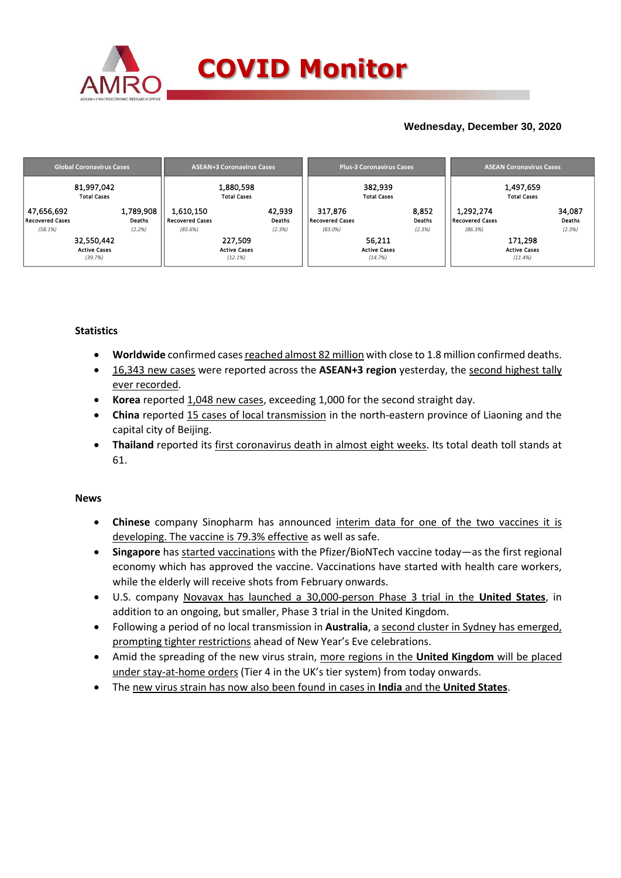

### **Wednesday, December 30, 2020**

| <b>Global Coronavirus Cases</b> | <b>ASEAN+3 Coronavirus Cases</b> | <b>Plus-3 Coronavirus Cases</b> | <b>ASEAN Coronavirus Cases</b> |  |  |
|---------------------------------|----------------------------------|---------------------------------|--------------------------------|--|--|
| 81,997,042                      | 1,880,598                        | 382,939                         | 1,497,659                      |  |  |
| <b>Total Cases</b>              | <b>Total Cases</b>               | <b>Total Cases</b>              | <b>Total Cases</b>             |  |  |
| 1,789,908                       | 1,610,150                        | 8,852                           | 1,292,274                      |  |  |
| 47,656,692                      | 42,939                           | 317,876                         | 34,087                         |  |  |
| <b>Recovered Cases</b>          | Deaths                           | Recovered Cases                 | Deaths                         |  |  |
| Deaths                          | <b>Recovered Cases</b>           | Deaths                          | Recovered Cases                |  |  |
| (2.2%)                          | (85.6%)                          | $(83.0\%)$                      | (2.3%)                         |  |  |
| (58.1%)                         | (2.3%)                           | (2.3%)                          | (86.3%)                        |  |  |
| 32,550,442                      | 227,509                          | 56,211                          | 171,298                        |  |  |
| <b>Active Cases</b>             | <b>Active Cases</b>              | <b>Active Cases</b>             | <b>Active Cases</b>            |  |  |
| (39.7%)                         | (12.1%)                          | (14.7%)                         | (11.4%                         |  |  |

### **Statistics**

- **Worldwide** confirmed cases reached almost 82 million with close to 1.8 million confirmed deaths.
- 16,343 new cases were reported across the **ASEAN+3 region** yesterday, the second highest tally ever recorded.
- **Korea** reported 1,048 new cases, exceeding 1,000 for the second straight day.
- **China** reported 15 cases of local transmission in the north-eastern province of Liaoning and the capital city of Beijing.
- **Thailand** reported its first coronavirus death in almost eight weeks. Its total death toll stands at 61.

### **News**

- **Chinese** company Sinopharm has announced interim data for one of the two vaccines it is developing. The vaccine is 79.3% effective as well as safe.
- **Singapore** has started vaccinations with the Pfizer/BioNTech vaccine today—as the first regional economy which has approved the vaccine. Vaccinations have started with health care workers, while the elderly will receive shots from February onwards.
- U.S. company Novavax has launched a 30,000-person Phase 3 trial in the **United States**, in addition to an ongoing, but smaller, Phase 3 trial in the United Kingdom.
- Following a period of no local transmission in **Australia**, a second cluster in Sydney has emerged, prompting tighter restrictions ahead of New Year's Eve celebrations.
- Amid the spreading of the new virus strain, more regions in the **United Kingdom** will be placed under stay-at-home orders (Tier 4 in the UK's tier system) from today onwards.
- The new virus strain has now also been found in cases in **India** and the **United States**.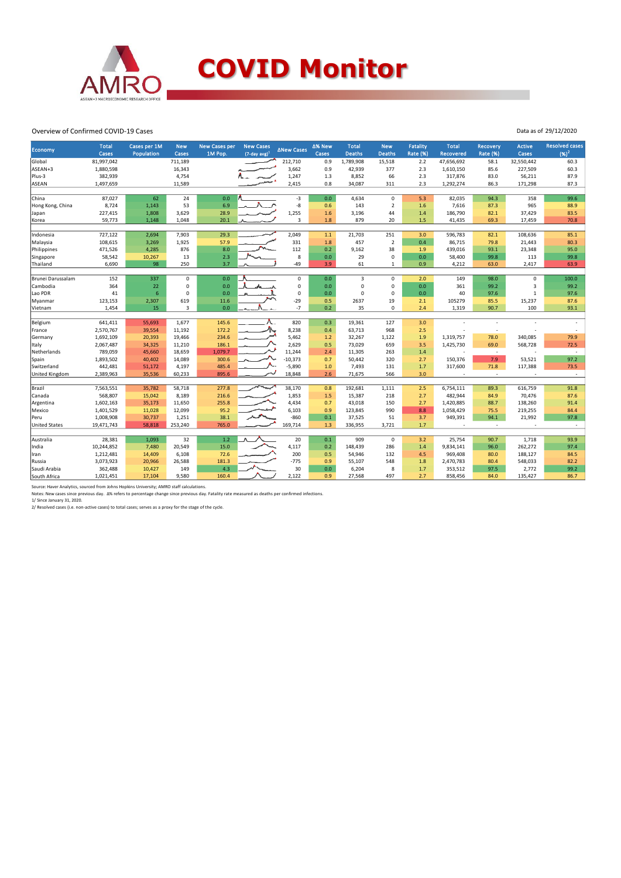

## **COVID Monitor**

#### Overview of Confirmed COVID-19 Cases

| Economy              | <b>Total</b><br>Cases | Cases per 1M<br>Population | <b>New</b><br>Cases | <b>New Cases per</b><br>1M Pop. | <b>New Cases</b><br>$(7$ -day avg) <sup>1</sup> | <b>∆New Cases</b> | ∆% New<br>Cases | <b>Total</b><br><b>Deaths</b> | <b>New</b><br>Deaths | <b>Fatality</b><br><b>Rate (%)</b> | <b>Total</b><br>Recovered | <b>Recovery</b><br><b>Rate (%)</b> | <b>Active</b><br>Cases | <b>Resolved cases</b><br>$(96)^2$ |
|----------------------|-----------------------|----------------------------|---------------------|---------------------------------|-------------------------------------------------|-------------------|-----------------|-------------------------------|----------------------|------------------------------------|---------------------------|------------------------------------|------------------------|-----------------------------------|
| Global               | 81,997,042            |                            | 711,189             |                                 |                                                 | 212,710           | 0.9             | 1,789,908                     | 15,518               | 2.2                                | 47,656,692                | 58.1                               | 32,550,442             | 60.3                              |
| ASEAN+3              | 1,880,598             |                            | 16,343              |                                 |                                                 | 3,662             | 0.9             | 42,939                        | 377                  | 2.3                                | 1,610,150                 | 85.6                               | 227,509                | 60.3                              |
| Plus-3               | 382,939               |                            | 4,754               |                                 |                                                 | 1,247             | 1.3             | 8,852                         | 66                   | 2.3                                | 317,876                   | 83.0                               | 56,211                 | 87.9                              |
| <b>ASEAN</b>         | 1,497,659             |                            | 11,589              |                                 |                                                 | 2,415             | 0.8             | 34,087                        | 311                  | 2.3                                | 1,292,274                 | 86.3                               | 171,298                | 87.3                              |
|                      |                       |                            |                     |                                 |                                                 |                   |                 |                               |                      |                                    |                           |                                    |                        |                                   |
| China                | 87,027                | 62                         | 24                  | 0.0                             |                                                 | $-3$              | 0.0             | 4,634                         | $\mathbf 0$          | 5.3                                | 82,035                    | 94.3                               | 358                    | 99.6                              |
| Hong Kong, China     | 8,724                 | 1,143                      | 53                  | 6.9                             |                                                 | -8                | 0.6             | 143                           | $\overline{2}$       | 1.6                                | 7,616                     | 87.3                               | 965                    | 88.9                              |
| Japan                | 227,415               | 1,808                      | 3,629               | 28.9                            |                                                 | 1,255             | 1.6             | 3,196                         | 44                   | 1.4                                | 186,790                   | 82.1                               | 37,429                 | 83.5                              |
| Korea                | 59,773                | 1,148                      | 1,048               | 20.1                            |                                                 | 3                 | 1.8             | 879                           | 20                   | 1.5                                | 41,435                    | 69.3                               | 17,459                 | 70.8                              |
|                      |                       |                            |                     |                                 |                                                 |                   |                 |                               |                      |                                    |                           |                                    |                        |                                   |
| Indonesia            | 727,122               | 2,694                      | 7,903               | 29.3                            |                                                 | 2,049             | $1.1$           | 21,703                        | 251                  | 3.0                                | 596,783                   | 82.1                               | 108,636                | 85.1                              |
| Malaysia             | 108,615               | 3,269                      | 1,925               | 57.9<br>8.0                     |                                                 | 331<br>112        | 1.8             | 457                           | $\overline{2}$       | 0.4                                | 86,715                    | 79.8                               | 21,443                 | 80.3                              |
| Philippines          | 471,526               | 4,285                      | 876                 |                                 |                                                 |                   | 0.2             | 9,162                         | 38                   | 1.9                                | 439,016                   | 93.1                               | 23,348                 | 95.0                              |
| Singapore            | 58,542                | 10,267                     | 13                  | 2.3                             |                                                 | 8                 | $0.0\,$         | 29                            | 0                    | 0.0                                | 58,400                    | 99.8                               | 113                    | 99.8                              |
| Thailand             | 6,690                 | 98                         | 250                 | 3.7                             |                                                 | $-49$             | 3.9             | 61                            | $\mathbf{1}$         | 0.9                                | 4,212                     | 63.0                               | 2,417                  | 63.9                              |
| Brunei Darussalam    | 152                   | 337                        | 0                   | 0.0                             |                                                 | $\mathsf 0$       | 0.0             | $\overline{3}$                | 0                    | 2.0                                | 149                       | 98.0                               | 0                      | 100.0                             |
| Cambodia             | 364                   | 22                         | 0                   | 0.0                             |                                                 | $\mathsf 0$       | 0.0             | $\mathsf 0$                   | 0                    | 0.0                                | 361                       | 99.2                               | 3                      | 99.2                              |
| Lao PDR              | 41                    | $6\phantom{1}6$            | 0                   | 0.0                             |                                                 | $\mathsf 0$       | 0.0             | $\mathbf 0$                   | 0                    | 0.0                                | 40                        | 97.6                               | 1                      | 97.6                              |
| Myanmar              | 123,153               | 2,307                      | 619                 | 11.6                            |                                                 | $-29$             | 0.5             | 2637                          | 19                   | 2.1                                | 105279                    | 85.5                               | 15,237                 | 87.6                              |
| Vietnam              | 1,454                 | 15                         | 3                   | 0.0                             |                                                 | $-7$              | 0.2             | 35                            | 0                    | 2.4                                | 1,319                     | 90.7                               | 100                    | 93.1                              |
|                      |                       |                            |                     |                                 |                                                 |                   |                 |                               |                      |                                    |                           |                                    |                        |                                   |
| Belgium              | 641,411               | 55,693                     | 1,677               | 145.6                           |                                                 | 820               | 0.3             | 19,361                        | 127                  | 3.0                                |                           |                                    |                        |                                   |
| France               | 2,570,767             | 39,554                     | 11,192              | 172.2                           | 办.                                              | 8,238             | 0.4             | 63,713                        | 968                  | 2.5                                |                           |                                    |                        |                                   |
| Germany              | 1,692,109             | 20,393                     | 19,466              | 234.6                           |                                                 | 5,462             | 1.2             | 32,267                        | 1,122                | 1.9                                | 1,319,757                 | 78.0                               | 340,085                | 79.9                              |
| Italy                | 2,067,487             | 34,325                     | 11,210              | 186.1                           |                                                 | 2,629             | 0.5             | 73,029                        | 659                  | 3.5                                | 1,425,730                 | 69.0                               | 568,728                | 72.5                              |
| Netherlands          | 789,059               | 45,660                     | 18,659              | 1,079.7                         |                                                 | 11,244            | 2.4             | 11,305                        | 263                  | 1.4                                | ÷,                        | $\sim$                             |                        | <b>.</b>                          |
| Spain                | 1,893,502             | 40,402                     | 14,089              | 300.6                           |                                                 | $-10,373$         | 0.7             | 50,442                        | 320                  | 2.7                                | 150,376                   | 7.9                                | 53,521                 | 97.2                              |
| Switzerland          | 442,481               | 51,172                     | 4,197               | 485.4                           |                                                 | $-5,890$          | 1.0             | 7,493                         | 131                  | 1.7                                | 317,600                   | 71.8                               | 117,388                | 73.5                              |
| United Kingdom       | 2,389,963             | 35,536                     | 60,233              | 895.6                           |                                                 | 18,848            | 2.6             | 71,675                        | 566                  | 3.0                                | ÷                         | $\sim$                             |                        | $\sim$                            |
|                      |                       |                            |                     |                                 |                                                 |                   |                 |                               |                      |                                    |                           |                                    |                        |                                   |
| Brazil               | 7,563,551             | 35,782                     | 58,718              | 277.8                           |                                                 | 38,170            | 0.8             | 192,681                       | 1,111                | 2.5                                | 6,754,111                 | 89.3                               | 616,759                | 91.8                              |
| Canada               | 568,807               | 15,042                     | 8,189               | 216.6                           |                                                 | 1,853             | 1.5             | 15,387                        | 218                  | 2.7                                | 482,944                   | 84.9                               | 70,476                 | 87.6                              |
| Argentina            | 1,602,163             | 35,173                     | 11,650              | 255.8                           |                                                 | 4,434             | 0.7             | 43,018                        | 150                  | 2.7                                | 1,420,885                 | 88.7                               | 138,260                | 91.4                              |
| Mexico               | 1,401,529             | 11,028                     | 12,099              | 95.2                            |                                                 | 6,103             | 0.9             | 123,845                       | 990                  | 8.8                                | 1,058,429                 | 75.5                               | 219,255                | 84.4                              |
| Peru                 | 1,008,908             | 30,737                     | 1,251               | 38.1                            |                                                 | $-860$            | 0.1             | 37,525                        | 51                   | 3.7                                | 949,391                   | 94.1                               | 21,992                 | 97.8                              |
| <b>United States</b> | 19,471,743            | 58,818                     | 253,240             | 765.0                           |                                                 | 169,714           | 1.3             | 336,955                       | 3,721                | 1.7                                | ÷,                        | $\sim$                             |                        | $\overline{a}$                    |
| Australia            | 28,381                | 1,093                      | 32                  | 1.2                             |                                                 | 20                | 0.1             | 909                           | $\mathbf 0$          | 3.2                                | 25,754                    | 90.7                               | 1,718                  | 93.9                              |
| India                | 10,244,852            | 7,480                      | 20,549              | 15.0                            |                                                 | 4,117             | 0.2             | 148,439                       | 286                  | 1.4                                | 9,834,141                 | 96.0                               | 262,272                | 97.4                              |
| Iran                 | 1,212,481             | 14,409                     | 6,108               | 72.6                            |                                                 | 200               | 0.5             | 54,946                        | 132                  | 4.5                                | 969,408                   | 80.0                               | 188,127                | 84.5                              |
| Russia               | 3,073,923             | 20,966                     | 26,588              | 181.3                           |                                                 | $-775$            | 0.9             | 55,107                        | 548                  | 1.8                                | 2,470,783                 | 80.4                               | 548,033                | 82.2                              |
| Saudi Arabia         | 362,488               | 10,427                     | 149                 | 4.3                             |                                                 | 30                | 0.0             | 6,204                         | 8                    | 1.7                                | 353,512                   | 97.5                               | 2,772                  | 99.2                              |
|                      | 1,021,451             | 17,104                     | 9,580               | 160.4                           |                                                 | 2.122             | 0.9             | 27,568                        | 497                  | 2.7                                | 858,456                   | 84.0                               | 135,427                | 86.7                              |
| South Africa         |                       |                            |                     |                                 |                                                 |                   |                 |                               |                      |                                    |                           |                                    |                        |                                   |

Source: Haver Analytics, sourced from Johns Hopkins University; AMRO staff calculations.<br>Notes: New cases since previous day. Δ% refers to percentage change since previous day. Fatality rate measured as deaths per confirm

Data as of 29/12/2020